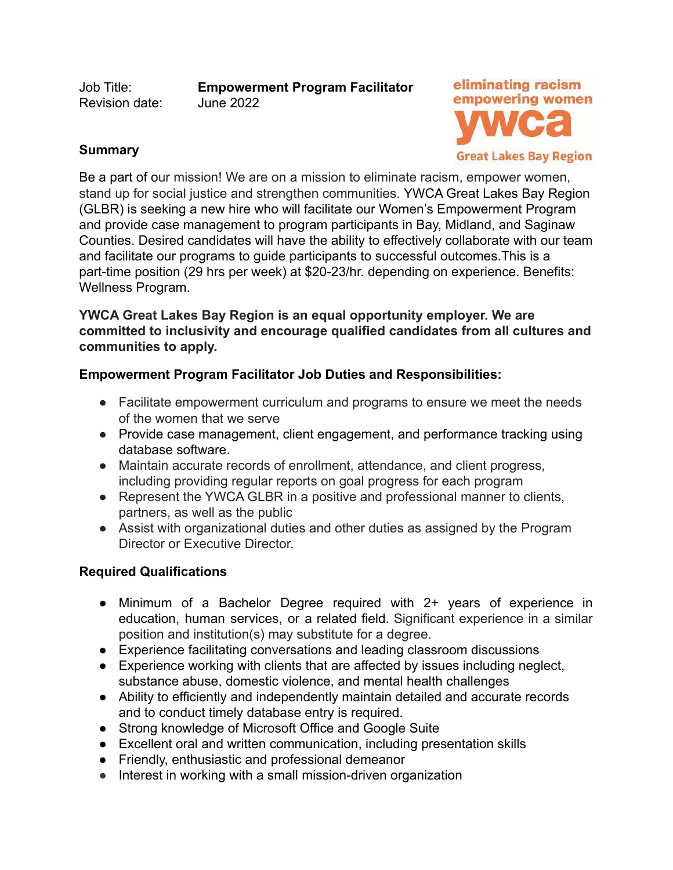Revision date: June 2022

Job Title: **Empowerment Program Facilitator**



### **Summary**

Be a part of our mission! We are on a mission to eliminate racism, empower women, stand up for social justice and strengthen communities. YWCA Great Lakes Bay Region (GLBR) is seeking a new hire who will facilitate our Women's Empowerment Program and provide case management to program participants in Bay, Midland, and Saginaw Counties. Desired candidates will have the ability to effectively collaborate with our team and facilitate our programs to guide participants to successful outcomes.This is a part-time position (29 hrs per week) at \$20-23/hr. depending on experience. Benefits: Wellness Program.

**YWCA Great Lakes Bay Region is an equal opportunity employer. We are committed to inclusivity and encourage qualified candidates from all cultures and communities to apply.**

# **Empowerment Program Facilitator Job Duties and Responsibilities:**

- Facilitate empowerment curriculum and programs to ensure we meet the needs of the women that we serve
- Provide case management, client engagement, and performance tracking using database software.
- Maintain accurate records of enrollment, attendance, and client progress, including providing regular reports on goal progress for each program
- Represent the YWCA GLBR in a positive and professional manner to clients, partners, as well as the public
- Assist with organizational duties and other duties as assigned by the Program Director or Executive Director.

### **Required Qualifications**

- Minimum of a Bachelor Degree required with 2+ years of experience in education, human services, or a related field. Significant experience in a similar position and institution(s) may substitute for a degree.
- Experience facilitating conversations and leading classroom discussions
- Experience working with clients that are affected by issues including neglect, substance abuse, domestic violence, and mental health challenges
- Ability to efficiently and independently maintain detailed and accurate records and to conduct timely database entry is required.
- Strong knowledge of Microsoft Office and Google Suite
- Excellent oral and written communication, including presentation skills
- Friendly, enthusiastic and professional demeanor
- Interest in working with a small mission-driven organization